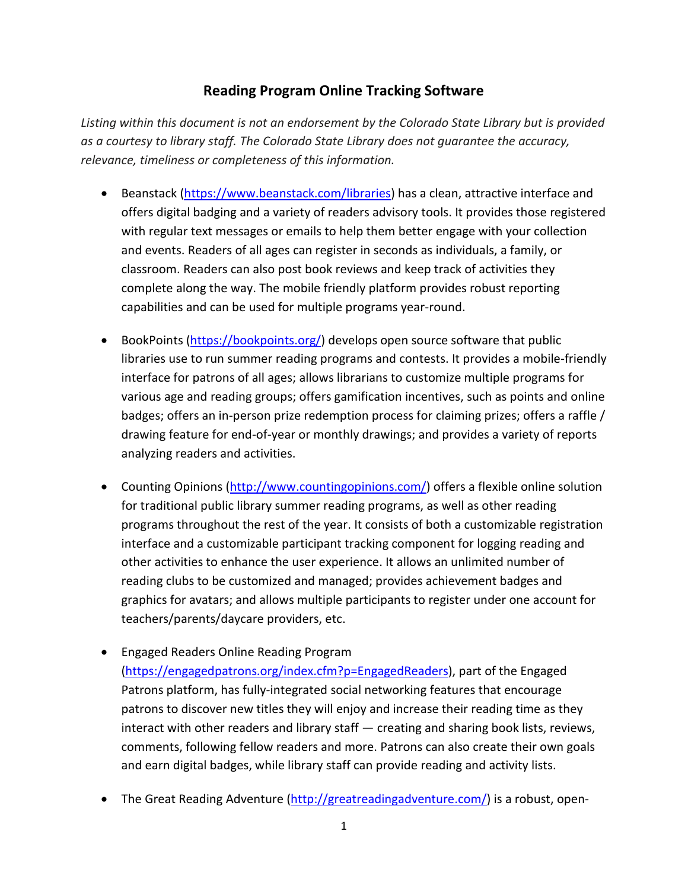## **Reading Program Online Tracking Software**

*Listing within this document is not an endorsement by the Colorado State Library but is provided as a courtesy to library staff. The Colorado State Library does not guarantee the accuracy, relevance, timeliness or completeness of this information.*

- Beanstack [\(https://www.beanstack.com/libraries\)](https://www.beanstack.com/libraries) has a clean, attractive interface and offers digital badging and a variety of readers advisory tools. It provides those registered with regular text messages or emails to help them better engage with your collection and events. Readers of all ages can register in seconds as individuals, a family, or classroom. Readers can also post book reviews and keep track of activities they complete along the way. The mobile friendly platform provides robust reporting capabilities and can be used for multiple programs year-round.
- BookPoints [\(https://bookpoints.org/\)](https://bookpoints.org/) develops open source software that public libraries use to run summer reading programs and contests. It provides a mobile-friendly interface for patrons of all ages; allows librarians to customize multiple programs for various age and reading groups; offers gamification incentives, such as points and online badges; offers an in-person prize redemption process for claiming prizes; offers a raffle / drawing feature for end-of-year or monthly drawings; and provides a variety of reports analyzing readers and activities.
- Counting Opinions [\(http://www.countingopinions.com/\)](http://www.countingopinions.com/) offers a flexible online solution for traditional public library summer reading programs, as well as other reading programs throughout the rest of the year. It consists of both a customizable registration interface and a customizable participant tracking component for logging reading and other activities to enhance the user experience. It allows an unlimited number of reading clubs to be customized and managed; provides achievement badges and graphics for avatars; and allows multiple participants to register under one account for teachers/parents/daycare providers, etc.
- Engaged Readers Online Reading Program [\(https://engagedpatrons.org/index.cfm?p=EngagedReaders\)](https://engagedpatrons.org/index.cfm?p=EngagedReaders), part of the Engaged Patrons platform, has fully-integrated social networking features that encourage patrons to discover new titles they will enjoy and increase their reading time as they interact with other readers and library staff — creating and sharing book lists, reviews, comments, following fellow readers and more. Patrons can also create their own goals and earn digital badges, while library staff can provide reading and activity lists.
- The Great Reading Adventure [\(http://greatreadingadventure.com/\)](http://greatreadingadventure.com/) is a robust, open-